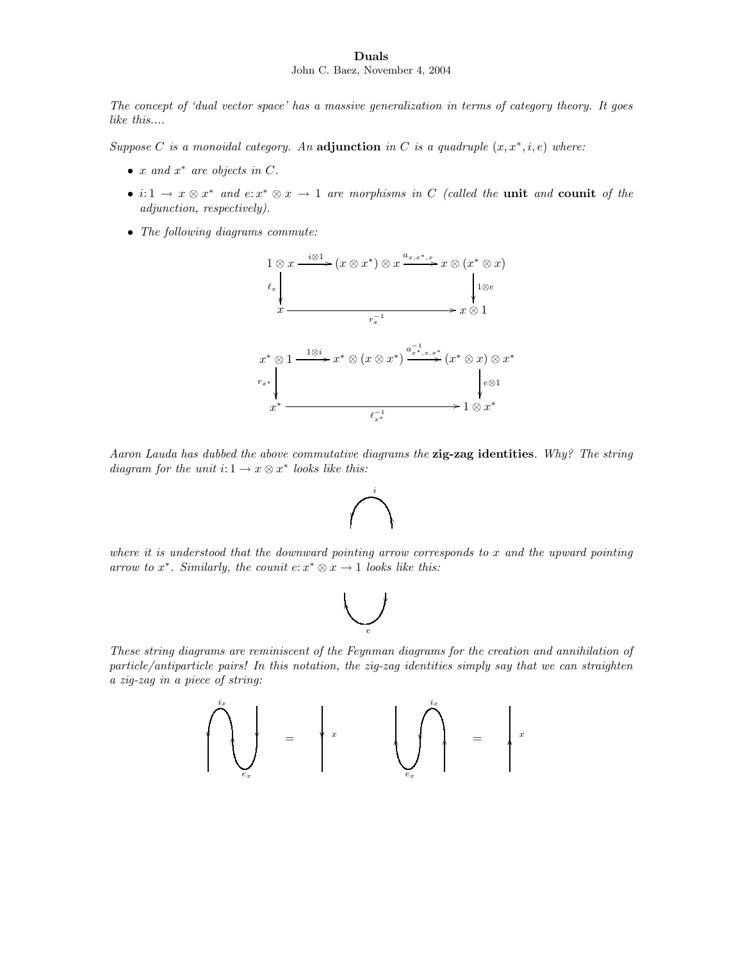## Duals John C. Baez, November 4, 2004

The concept of 'dual vector space' has a massive generalization in terms of category theory. It goes like this....

Suppose C is a monoidal category. An adjunction in C is a quadruple  $(x, x^*, i, e)$  where:

- $x$  and  $x^*$  are objects in  $C$ .
- $i: 1 \to x \otimes x^*$  and  $e: x^* \otimes x \to 1$  are morphisms in C (called the unit and counit of the adjunction, respectively).
- The following diagrams commute:



Aaron Lauda has dubbed the above commutative diagrams the **zig-zag identities**. Why? The string diagram for the unit  $i: 1 \rightarrow x \otimes x^*$  looks like this:



where it is understood that the downward pointing arrow corresponds to x and the upward pointing arrow to  $x^*$ . Similarly, the counit  $e: x^* \otimes x \to 1$  looks like this:

$$
\bigcup_{e}
$$

These string diagrams are reminiscent of the Feynman diagrams for the creation and annihilation of particle/antiparticle pairs! In this notation, the zig-zag identities simply say that we can straighten a zig-zag in a piece of string:

OO ix ex = <sup>x</sup> OO OO ex ix = OO <sup>x</sup>